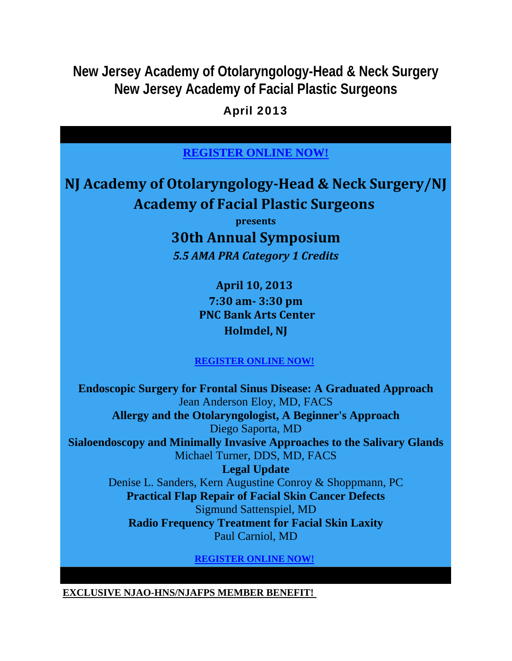**New Jersey Academy of Otolaryngology-Head & Neck Surgery New Jersey Academy of Facial Plastic Surgeons**

April 2013

## **REGISTER ONLINE NOW!**

# **NJ Academy of OtolaryngologyHead & Neck Surgery/NJ Academy of Facial Plastic Surgeons**

**presents**

**30th Annual Symposium** *5.5 AMA PRA Category 1 Credits*

> **April 10, 2013 7:30 am 3:30 pm PNC Bank Arts Center Holmdel, NJ**

### **REGISTER ONLINE NOW!**

**Endoscopic Surgery for Frontal Sinus Disease: A Graduated Approach** Jean Anderson Eloy, MD, FACS **Allergy and the Otolaryngologist, A Beginner's Approach** Diego Saporta, MD **Sialoendoscopy and Minimally Invasive Approaches to the Salivary Glands** Michael Turner, DDS, MD, FACS **Legal Update** Denise L. Sanders, Kern Augustine Conroy & Shoppmann, PC **Practical Flap Repair of Facial Skin Cancer Defects** Sigmund Sattenspiel, MD **Radio Frequency Treatment for Facial Skin Laxity**

Paul Carniol, MD

**REGISTER ONLINE NOW!**

**EXCLUSIVE NJAO-HNS/NJAFPS MEMBER BENEFIT!**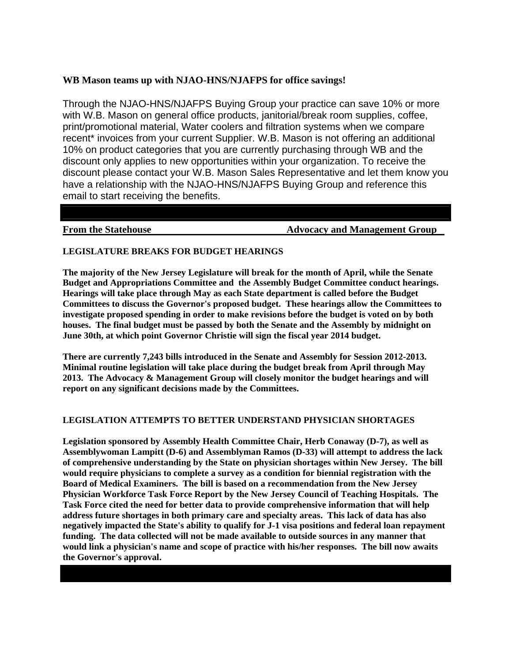### **WB Mason teams up with NJAO-HNS/NJAFPS for office savings!**

Through the NJAO-HNS/NJAFPS Buying Group your practice can save 10% or more with W.B. Mason on general office products, janitorial/break room supplies, coffee, print/promotional material, Water coolers and filtration systems when we compare recent\* invoices from your current Supplier. W.B. Mason is not offering an additional 10% on product categories that you are currently purchasing through WB and the discount only applies to new opportunities within your organization. To receive the discount please contact your W.B. Mason Sales Representative and let them know you have a relationship with the NJAO-HNS/NJAFPS Buying Group and reference this email to start receiving the benefits.

**From the Statehouse 32 Advocacy and Management Group** 

### **LEGISLATURE BREAKS FOR BUDGET HEARINGS**

**The majority of the New Jersey Legislature will break for the month of April, while the Senate Budget and Appropriations Committee and the Assembly Budget Committee conduct hearings. Hearings will take place through May as each State department is called before the Budget Committees to discuss the Governor's proposed budget. These hearings allow the Committees to investigate proposed spending in order to make revisions before the budget is voted on by both houses. The final budget must be passed by both the Senate and the Assembly by midnight on June 30th, at which point Governor Christie will sign the fiscal year 2014 budget.** 

**There are currently 7,243 bills introduced in the Senate and Assembly for Session 2012-2013. Minimal routine legislation will take place during the budget break from April through May 2013. The Advocacy & Management Group will closely monitor the budget hearings and will report on any significant decisions made by the Committees.** 

### **LEGISLATION ATTEMPTS TO BETTER UNDERSTAND PHYSICIAN SHORTAGES**

**Legislation sponsored by Assembly Health Committee Chair, Herb Conaway (D-7), as well as Assemblywoman Lampitt (D-6) and Assemblyman Ramos (D-33) will attempt to address the lack of comprehensive understanding by the State on physician shortages within New Jersey. The bill would require physicians to complete a survey as a condition for biennial registration with the Board of Medical Examiners. The bill is based on a recommendation from the New Jersey Physician Workforce Task Force Report by the New Jersey Council of Teaching Hospitals. The Task Force cited the need for better data to provide comprehensive information that will help address future shortages in both primary care and specialty areas. This lack of data has also negatively impacted the State's ability to qualify for J-1 visa positions and federal loan repayment funding. The data collected will not be made available to outside sources in any manner that would link a physician's name and scope of practice with his/her responses. The bill now awaits the Governor's approval.**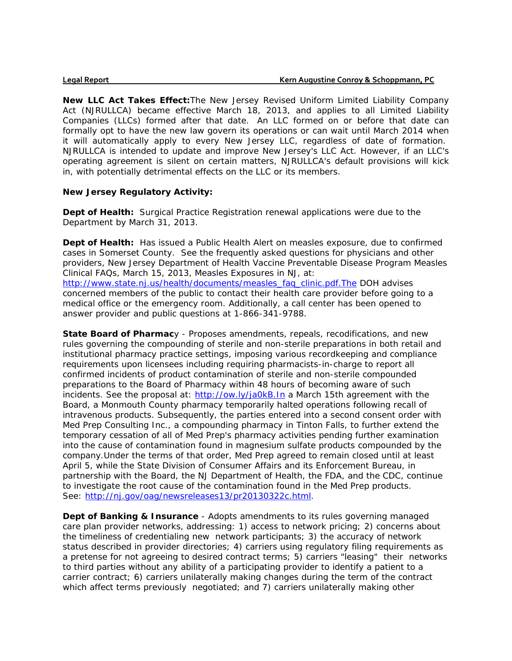**New LLC Act Takes Effect:**The New Jersey Revised Uniform Limited Liability Company Act (NJRULLCA) became effective March 18, 2013, and applies to all Limited Liability Companies (LLCs) formed after that date. An LLC formed on or before that date can formally opt to have the new law govern its operations or can wait until March 2014 when it will automatically apply to every New Jersey LLC, regardless of date of formation. NJRULLCA is intended to update and improve New Jersey's LLC Act. However, if an LLC's operating agreement is silent on certain matters, NJRULLCA's default provisions will kick in, with potentially detrimental effects on the LLC or its members.

### **New Jersey Regulatory Activity:**

**Dept of Health:** Surgical Practice Registration renewal applications were due to the Department by March 31, 2013.

**Dept of Health:** Has issued a Public Health Alert on measles exposure, due to confirmed cases in Somerset County. See the frequently asked questions for physicians and other providers, New Jersey Department of Health Vaccine Preventable Disease Program Measles Clinical FAQs, March 15, 2013, Measles Exposures in NJ, at: http://www.state.nj.us/health/documents/measles\_faq\_clinic.pdf.The DOH advises concerned members of the public to contact their health care provider before going to a medical office or the emergency room. Additionally, a call center has been opened to answer provider and public questions at 1-866-341-9788.

**State Board of Pharmac**y - Proposes amendments, repeals, recodifications, and new rules governing the compounding of sterile and non-sterile preparations in both retail and institutional pharmacy practice settings, imposing various recordkeeping and compliance requirements upon licensees including requiring pharmacists-in-charge to report all confirmed incidents of product contamination of sterile and non-sterile compounded preparations to the Board of Pharmacy within 48 hours of becoming aware of such incidents. See the proposal at: http://ow.ly/ja0kB.In a March 15th agreement with the Board, a Monmouth County pharmacy temporarily halted operations following recall of intravenous products. Subsequently, the parties entered into a second consent order with Med Prep Consulting Inc., a compounding pharmacy in Tinton Falls, to further extend the temporary cessation of all of Med Prep's pharmacy activities pending further examination into the cause of contamination found in magnesium sulfate products compounded by the company.Under the terms of that order, Med Prep agreed to remain closed until at least April 5, while the State Division of Consumer Affairs and its Enforcement Bureau, in partnership with the Board, the NJ Department of Health, the FDA, and the CDC, continue to investigate the root cause of the contamination found in the Med Prep products. See: http://nj.gov/oag/newsreleases13/pr20130322c.html.

**Dept of Banking & Insurance** - Adopts amendments to its rules governing managed care plan provider networks, addressing: 1) access to network pricing; 2) concerns about the timeliness of credentialing new network participants; 3) the accuracy of network status described in provider directories; 4) carriers using regulatory filing requirements as a pretense for not agreeing to desired contract terms; 5) carriers "leasing" their networks to third parties without any ability of a participating provider to identify a patient to a carrier contract; 6) carriers unilaterally making changes during the term of the contract which affect terms previously negotiated; and 7) carriers unilaterally making other